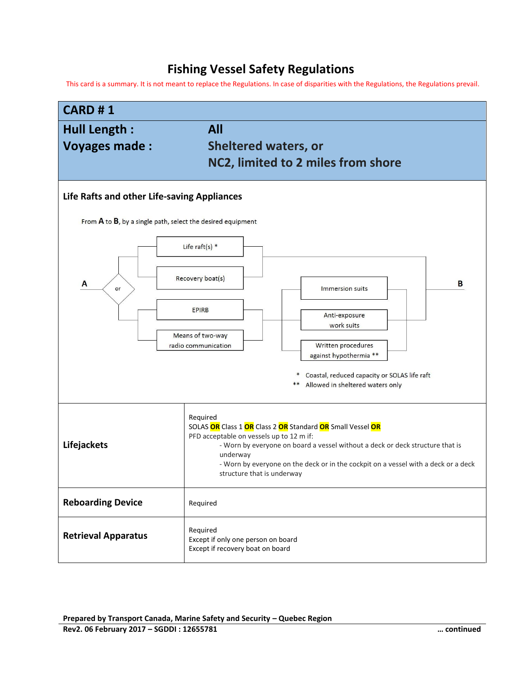## **Fishing Vessel Safety Regulations**

This card is a summary. It is not meant to replace the Regulations. In case of disparities with the Regulations, the Regulations prevail.